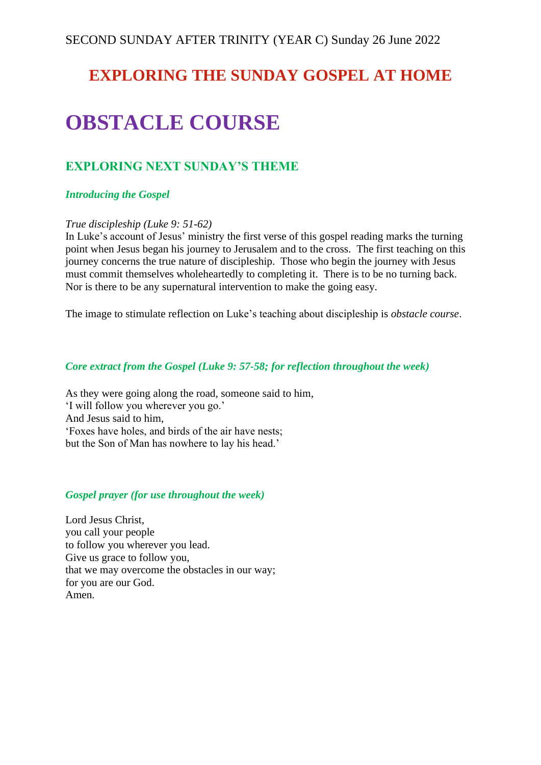## **EXPLORING THE SUNDAY GOSPEL AT HOME**

# **OBSTACLE COURSE**

## **EXPLORING NEXT SUNDAY'S THEME**

## *Introducing the Gospel*

## *True discipleship (Luke 9: 51-62)*

In Luke's account of Jesus' ministry the first verse of this gospel reading marks the turning point when Jesus began his journey to Jerusalem and to the cross. The first teaching on this journey concerns the true nature of discipleship. Those who begin the journey with Jesus must commit themselves wholeheartedly to completing it. There is to be no turning back. Nor is there to be any supernatural intervention to make the going easy.

The image to stimulate reflection on Luke's teaching about discipleship is *obstacle course*.

#### *Core extract from the Gospel (Luke 9: 57-58; for reflection throughout the week)*

As they were going along the road, someone said to him, 'I will follow you wherever you go.' And Jesus said to him, 'Foxes have holes, and birds of the air have nests; but the Son of Man has nowhere to lay his head.'

## *Gospel prayer (for use throughout the week)*

Lord Jesus Christ, you call your people to follow you wherever you lead. Give us grace to follow you, that we may overcome the obstacles in our way; for you are our God. Amen.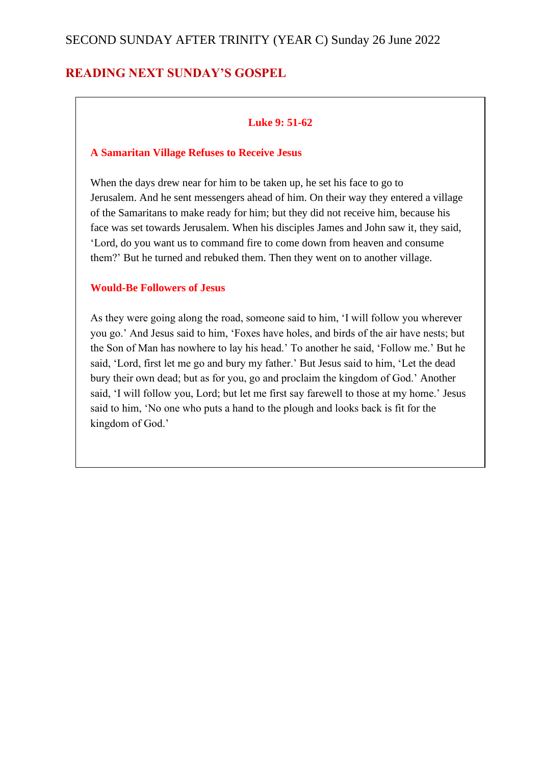## SECOND SUNDAY AFTER TRINITY (YEAR C) Sunday 26 June 2022

## **READING NEXT SUNDAY'S GOSPEL**

## **Luke 9: 51-62**

#### **A Samaritan Village Refuses to Receive Jesus**

When the days drew near for him to be taken up, he set his face to go to Jerusalem. And he sent messengers ahead of him. On their way they entered a village of the Samaritans to make ready for him; but they did not receive him, because his face was set towards Jerusalem. When his disciples James and John saw it, they said, 'Lord, do you want us to command fire to come down from heaven and consume them?' But he turned and rebuked them. Then they went on to another village.

#### **Would-Be Followers of Jesus**

As they were going along the road, someone said to him, 'I will follow you wherever you go.' And Jesus said to him, 'Foxes have holes, and birds of the air have nests; but the Son of Man has nowhere to lay his head.' To another he said, 'Follow me.' But he said, 'Lord, first let me go and bury my father.' But Jesus said to him, 'Let the dead bury their own dead; but as for you, go and proclaim the kingdom of God.' Another said, 'I will follow you, Lord; but let me first say farewell to those at my home.' Jesus said to him, 'No one who puts a hand to the plough and looks back is fit for the kingdom of God.'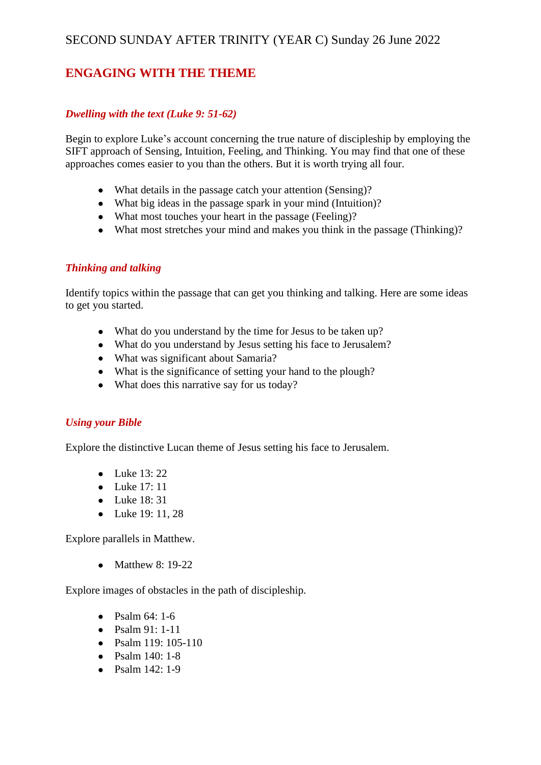## SECOND SUNDAY AFTER TRINITY (YEAR C) Sunday 26 June 2022

## **ENGAGING WITH THE THEME**

## *Dwelling with the text (Luke 9: 51-62)*

Begin to explore Luke's account concerning the true nature of discipleship by employing the SIFT approach of Sensing, Intuition, Feeling, and Thinking. You may find that one of these approaches comes easier to you than the others. But it is worth trying all four.

- What details in the passage catch your attention (Sensing)?
- What big ideas in the passage spark in your mind (Intuition)?
- What most touches your heart in the passage (Feeling)?
- What most stretches your mind and makes you think in the passage (Thinking)?

#### *Thinking and talking*

Identify topics within the passage that can get you thinking and talking. Here are some ideas to get you started.

- What do you understand by the time for Jesus to be taken up?
- What do you understand by Jesus setting his face to Jerusalem?
- What was significant about Samaria?
- What is the significance of setting your hand to the plough?
- What does this narrative say for us today?

#### *Using your Bible*

Explore the distinctive Lucan theme of Jesus setting his face to Jerusalem.

- Luke 13:22
- Luke 17: 11
- Luke 18: 31
- Luke 19: 11, 28

Explore parallels in Matthew.

• Matthew 8: 19-22

Explore images of obstacles in the path of discipleship.

- Psalm  $64: 1-6$
- Psalm 91: 1-11
- Psalm 119: 105-110
- Psalm 140: 1-8
- Psalm 142: 1-9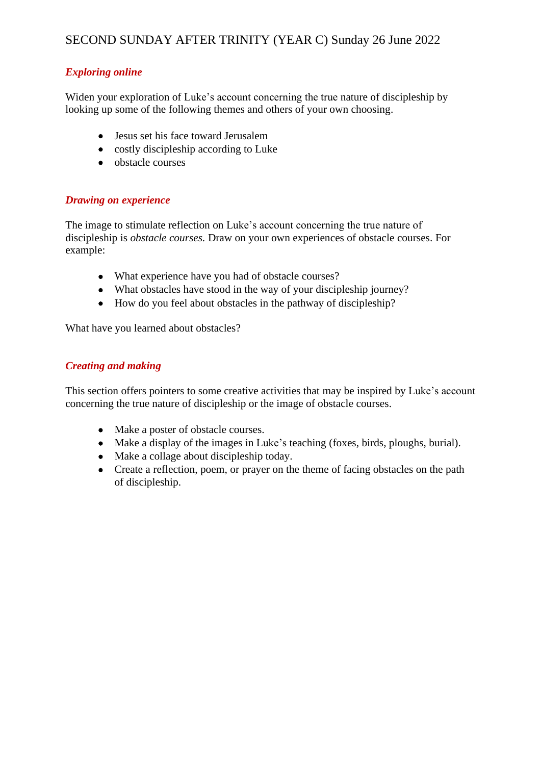## SECOND SUNDAY AFTER TRINITY (YEAR C) Sunday 26 June 2022

## *Exploring online*

Widen your exploration of Luke's account concerning the true nature of discipleship by looking up some of the following themes and others of your own choosing.

- Jesus set his face toward Jerusalem
- costly discipleship according to Luke
- obstacle courses

#### *Drawing on experience*

The image to stimulate reflection on Luke's account concerning the true nature of discipleship is *obstacle courses.* Draw on your own experiences of obstacle courses. For example:

- What experience have you had of obstacle courses?
- What obstacles have stood in the way of your discipleship journey?
- How do you feel about obstacles in the pathway of discipleship?

What have you learned about obstacles?

#### *Creating and making*

This section offers pointers to some creative activities that may be inspired by Luke's account concerning the true nature of discipleship or the image of obstacle courses.

- Make a poster of obstacle courses.
- Make a display of the images in Luke's teaching (foxes, birds, ploughs, burial).
- Make a collage about discipleship today.
- Create a reflection, poem, or prayer on the theme of facing obstacles on the path of discipleship.